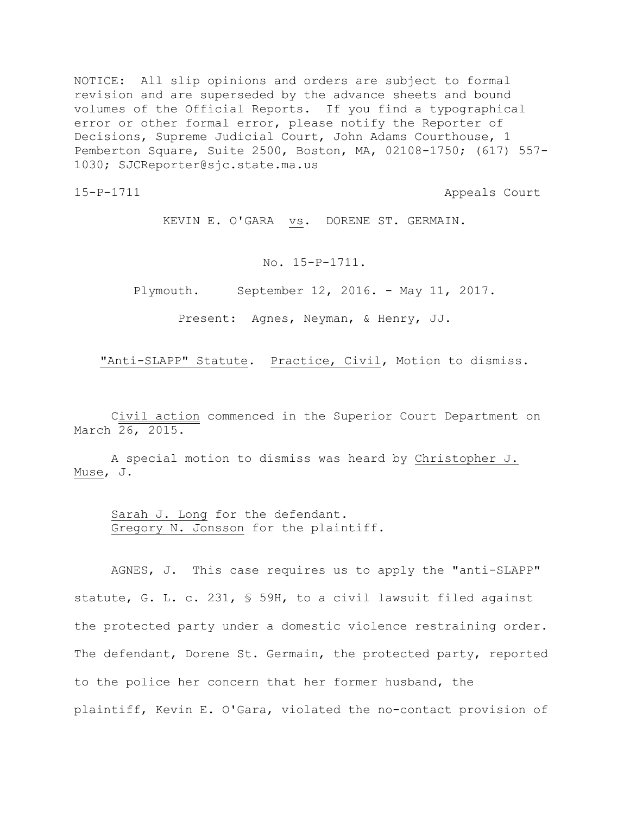NOTICE: All slip opinions and orders are subject to formal revision and are superseded by the advance sheets and bound volumes of the Official Reports. If you find a typographical error or other formal error, please notify the Reporter of Decisions, Supreme Judicial Court, John Adams Courthouse, 1 Pemberton Square, Suite 2500, Boston, MA, 02108-1750; (617) 557- 1030; SJCReporter@sjc.state.ma.us

15-P-1711 Appeals Court

KEVIN E. O'GARA vs. DORENE ST. GERMAIN.

No. 15-P-1711.

Plymouth. September 12, 2016. - May 11, 2017.

Present: Agnes, Neyman, & Henry, JJ.

"Anti-SLAPP" Statute. Practice, Civil, Motion to dismiss.

Civil action commenced in the Superior Court Department on March 26, 2015.

A special motion to dismiss was heard by Christopher J. Muse, J.

Sarah J. Long for the defendant. Gregory N. Jonsson for the plaintiff.

AGNES, J. This case requires us to apply the "anti-SLAPP" statute, G. L. c. 231, § 59H, to a civil lawsuit filed against the protected party under a domestic violence restraining order. The defendant, Dorene St. Germain, the protected party, reported to the police her concern that her former husband, the plaintiff, Kevin E. O'Gara, violated the no-contact provision of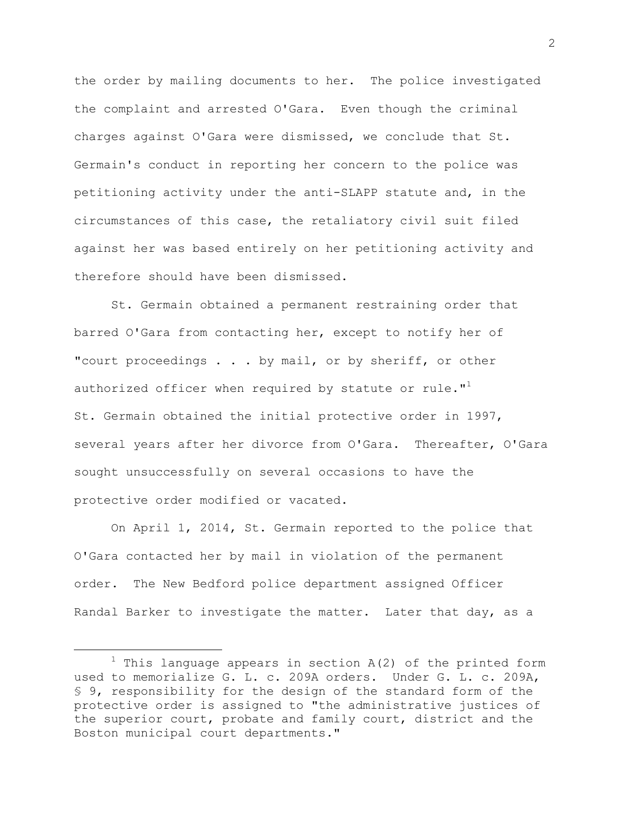the order by mailing documents to her. The police investigated the complaint and arrested O'Gara. Even though the criminal charges against O'Gara were dismissed, we conclude that St. Germain's conduct in reporting her concern to the police was petitioning activity under the anti-SLAPP statute and, in the circumstances of this case, the retaliatory civil suit filed against her was based entirely on her petitioning activity and therefore should have been dismissed.

St. Germain obtained a permanent restraining order that barred O'Gara from contacting her, except to notify her of "court proceedings . . . by mail, or by sheriff, or other authorized officer when required by statute or rule." $\mathbf{I}$ St. Germain obtained the initial protective order in 1997, several years after her divorce from O'Gara. Thereafter, O'Gara sought unsuccessfully on several occasions to have the protective order modified or vacated.

On April 1, 2014, St. Germain reported to the police that O'Gara contacted her by mail in violation of the permanent order. The New Bedford police department assigned Officer Randal Barker to investigate the matter. Later that day, as a

L,

 $1$  This language appears in section A(2) of the printed form used to memorialize G. L. c. 209A orders. Under G. L. c. 209A, § 9, responsibility for the design of the standard form of the protective order is assigned to "the administrative justices of the superior court, probate and family court, district and the Boston municipal court departments."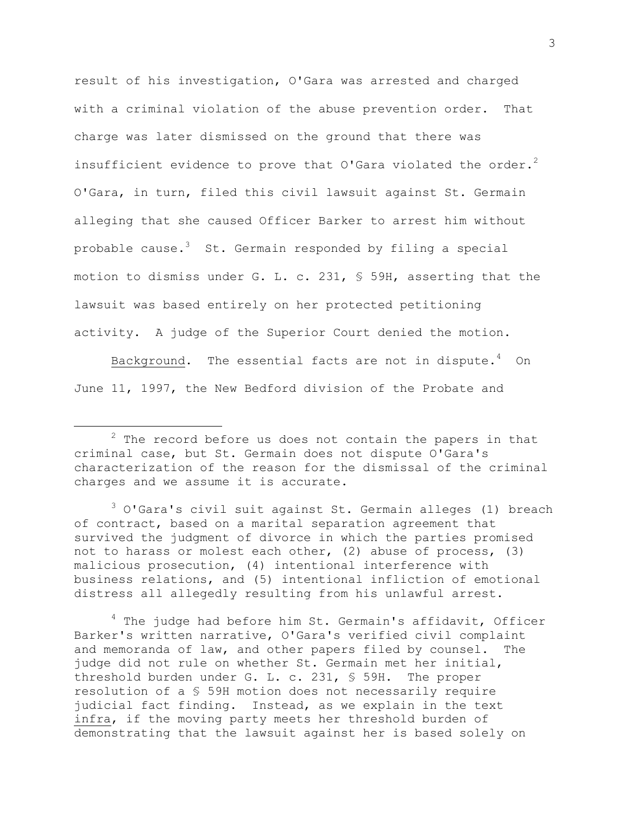result of his investigation, O'Gara was arrested and charged with a criminal violation of the abuse prevention order. That charge was later dismissed on the ground that there was insufficient evidence to prove that O'Gara violated the order.<sup>2</sup> O'Gara, in turn, filed this civil lawsuit against St. Germain alleging that she caused Officer Barker to arrest him without probable cause.<sup>3</sup> St. Germain responded by filing a special motion to dismiss under G. L. c. 231, § 59H, asserting that the lawsuit was based entirely on her protected petitioning activity. A judge of the Superior Court denied the motion.

Background. The essential facts are not in dispute. $4$  On June 11, 1997, the New Bedford division of the Probate and

L,

 $3$  O'Gara's civil suit against St. Germain alleges (1) breach of contract, based on a marital separation agreement that survived the judgment of divorce in which the parties promised not to harass or molest each other, (2) abuse of process, (3) malicious prosecution, (4) intentional interference with business relations, and (5) intentional infliction of emotional distress all allegedly resulting from his unlawful arrest.

<sup>4</sup> The judge had before him St. Germain's affidavit, Officer Barker's written narrative, O'Gara's verified civil complaint and memoranda of law, and other papers filed by counsel. The judge did not rule on whether St. Germain met her initial, threshold burden under G. L. c. 231, § 59H. The proper resolution of a § 59H motion does not necessarily require judicial fact finding. Instead, as we explain in the text infra, if the moving party meets her threshold burden of demonstrating that the lawsuit against her is based solely on

 $2$  The record before us does not contain the papers in that criminal case, but St. Germain does not dispute O'Gara's characterization of the reason for the dismissal of the criminal charges and we assume it is accurate.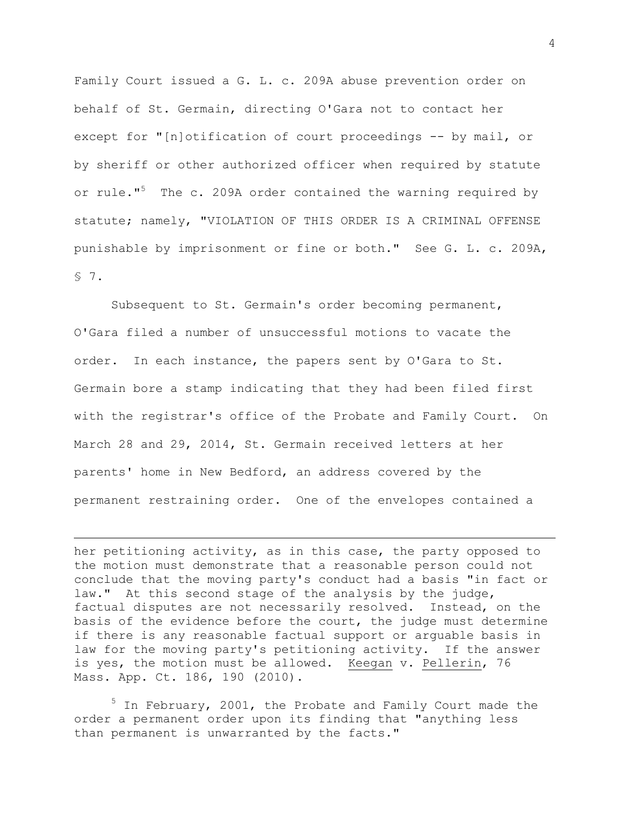Family Court issued a G. L. c. 209A abuse prevention order on behalf of St. Germain, directing O'Gara not to contact her except for "[n]otification of court proceedings -- by mail, or by sheriff or other authorized officer when required by statute or rule."<sup>5</sup> The c. 209A order contained the warning required by statute; namely, "VIOLATION OF THIS ORDER IS A CRIMINAL OFFENSE punishable by imprisonment or fine or both." See G. L. c. 209A, § 7.

Subsequent to St. Germain's order becoming permanent, O'Gara filed a number of unsuccessful motions to vacate the order. In each instance, the papers sent by O'Gara to St. Germain bore a stamp indicating that they had been filed first with the registrar's office of the Probate and Family Court. On March 28 and 29, 2014, St. Germain received letters at her parents' home in New Bedford, an address covered by the permanent restraining order. One of the envelopes contained a

her petitioning activity, as in this case, the party opposed to the motion must demonstrate that a reasonable person could not conclude that the moving party's conduct had a basis "in fact or law." At this second stage of the analysis by the judge, factual disputes are not necessarily resolved. Instead, on the basis of the evidence before the court, the judge must determine if there is any reasonable factual support or arguable basis in law for the moving party's petitioning activity. If the answer is yes, the motion must be allowed. Keegan v. Pellerin, 76 Mass. App. Ct. 186, 190 (2010).

L,

 $5$  In February, 2001, the Probate and Family Court made the order a permanent order upon its finding that "anything less than permanent is unwarranted by the facts."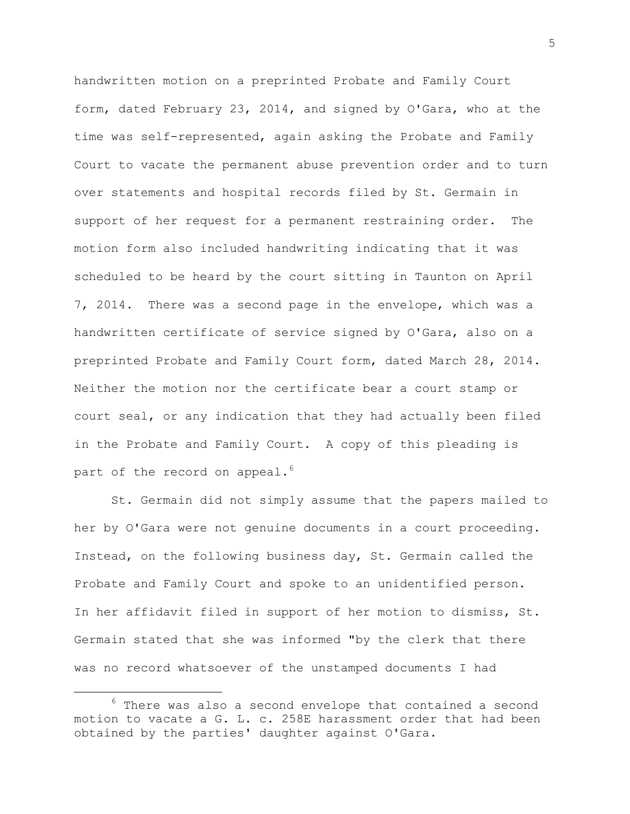handwritten motion on a preprinted Probate and Family Court form, dated February 23, 2014, and signed by O'Gara, who at the time was self-represented, again asking the Probate and Family Court to vacate the permanent abuse prevention order and to turn over statements and hospital records filed by St. Germain in support of her request for a permanent restraining order. The motion form also included handwriting indicating that it was scheduled to be heard by the court sitting in Taunton on April 7, 2014. There was a second page in the envelope, which was a handwritten certificate of service signed by O'Gara, also on a preprinted Probate and Family Court form, dated March 28, 2014. Neither the motion nor the certificate bear a court stamp or court seal, or any indication that they had actually been filed in the Probate and Family Court. A copy of this pleading is part of the record on appeal.<sup>6</sup>

St. Germain did not simply assume that the papers mailed to her by O'Gara were not genuine documents in a court proceeding. Instead, on the following business day, St. Germain called the Probate and Family Court and spoke to an unidentified person. In her affidavit filed in support of her motion to dismiss, St. Germain stated that she was informed "by the clerk that there was no record whatsoever of the unstamped documents I had

a<br>B

 $6$  There was also a second envelope that contained a second motion to vacate a G. L. c. 258E harassment order that had been obtained by the parties' daughter against O'Gara.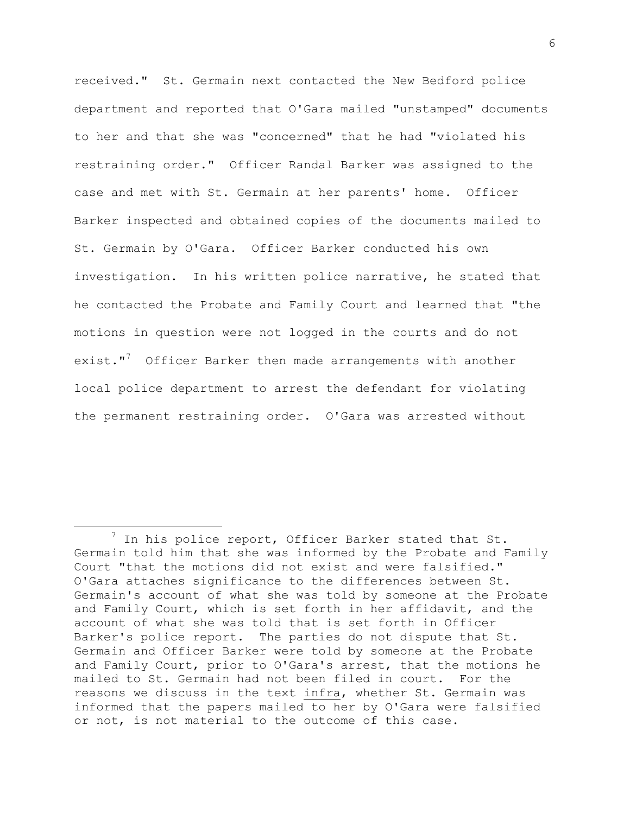received." St. Germain next contacted the New Bedford police department and reported that O'Gara mailed "unstamped" documents to her and that she was "concerned" that he had "violated his restraining order." Officer Randal Barker was assigned to the case and met with St. Germain at her parents' home. Officer Barker inspected and obtained copies of the documents mailed to St. Germain by O'Gara. Officer Barker conducted his own investigation. In his written police narrative, he stated that he contacted the Probate and Family Court and learned that "the motions in question were not logged in the courts and do not exist."<sup>7</sup> Officer Barker then made arrangements with another local police department to arrest the defendant for violating the permanent restraining order. O'Gara was arrested without

L,

 $7$  In his police report, Officer Barker stated that St. Germain told him that she was informed by the Probate and Family Court "that the motions did not exist and were falsified." O'Gara attaches significance to the differences between St. Germain's account of what she was told by someone at the Probate and Family Court, which is set forth in her affidavit, and the account of what she was told that is set forth in Officer Barker's police report. The parties do not dispute that St. Germain and Officer Barker were told by someone at the Probate and Family Court, prior to O'Gara's arrest, that the motions he mailed to St. Germain had not been filed in court. For the reasons we discuss in the text infra, whether St. Germain was informed that the papers mailed to her by O'Gara were falsified or not, is not material to the outcome of this case.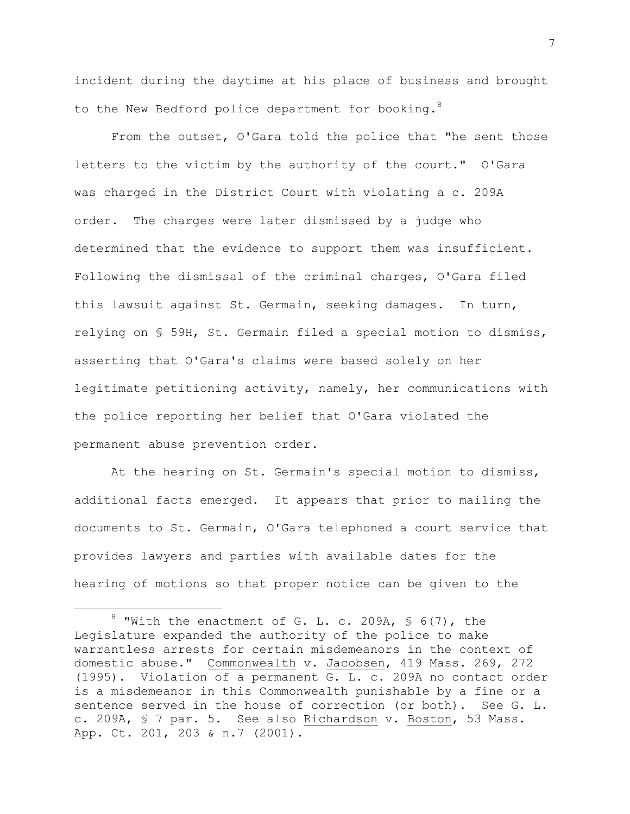incident during the daytime at his place of business and brought to the New Bedford police department for booking. $8$ 

From the outset, O'Gara told the police that "he sent those letters to the victim by the authority of the court." O'Gara was charged in the District Court with violating a c. 209A order. The charges were later dismissed by a judge who determined that the evidence to support them was insufficient. Following the dismissal of the criminal charges, O'Gara filed this lawsuit against St. Germain, seeking damages. In turn, relying on § 59H, St. Germain filed a special motion to dismiss, asserting that O'Gara's claims were based solely on her legitimate petitioning activity, namely, her communications with the police reporting her belief that O'Gara violated the permanent abuse prevention order.

At the hearing on St. Germain's special motion to dismiss, additional facts emerged. It appears that prior to mailing the documents to St. Germain, O'Gara telephoned a court service that provides lawyers and parties with available dates for the hearing of motions so that proper notice can be given to the

 $8$  "With the enactment of G. L. c. 209A, § 6(7), the Legislature expanded the authority of the police to make warrantless arrests for certain misdemeanors in the context of domestic abuse." Commonwealth v. Jacobsen, 419 Mass. 269, 272 (1995). Violation of a permanent G. L. c. 209A no contact order is a misdemeanor in this Commonwealth punishable by a fine or a sentence served in the house of correction (or both). See G. L. c. 209A, § 7 par. 5. See also Richardson v. Boston, 53 Mass. App. Ct. 201, 203 & n.7 (2001).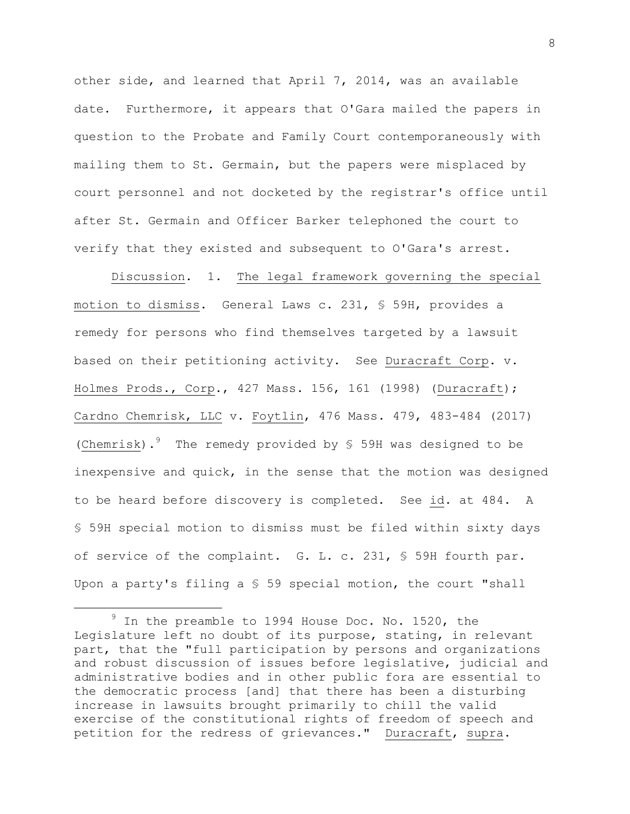other side, and learned that April 7, 2014, was an available date. Furthermore, it appears that O'Gara mailed the papers in question to the Probate and Family Court contemporaneously with mailing them to St. Germain, but the papers were misplaced by court personnel and not docketed by the registrar's office until after St. Germain and Officer Barker telephoned the court to verify that they existed and subsequent to O'Gara's arrest.

Discussion. 1. The legal framework governing the special motion to dismiss. General Laws c. 231, § 59H, provides a remedy for persons who find themselves targeted by a lawsuit based on their petitioning activity. See Duracraft Corp. v. Holmes Prods., Corp., 427 Mass. 156, 161 (1998) (Duracraft); Cardno Chemrisk, LLC v. Foytlin, 476 Mass. 479, 483-484 (2017) (Chemrisk). <sup>9</sup> The remedy provided by § 59H was designed to be inexpensive and quick, in the sense that the motion was designed to be heard before discovery is completed. See id. at 484. A § 59H special motion to dismiss must be filed within sixty days of service of the complaint. G. L. c. 231, § 59H fourth par. Upon a party's filing a § 59 special motion, the court "shall

 $9$  In the preamble to 1994 House Doc. No. 1520, the Legislature left no doubt of its purpose, stating, in relevant part, that the "full participation by persons and organizations and robust discussion of issues before legislative, judicial and administrative bodies and in other public fora are essential to the democratic process [and] that there has been a disturbing increase in lawsuits brought primarily to chill the valid exercise of the constitutional rights of freedom of speech and petition for the redress of grievances." Duracraft, supra.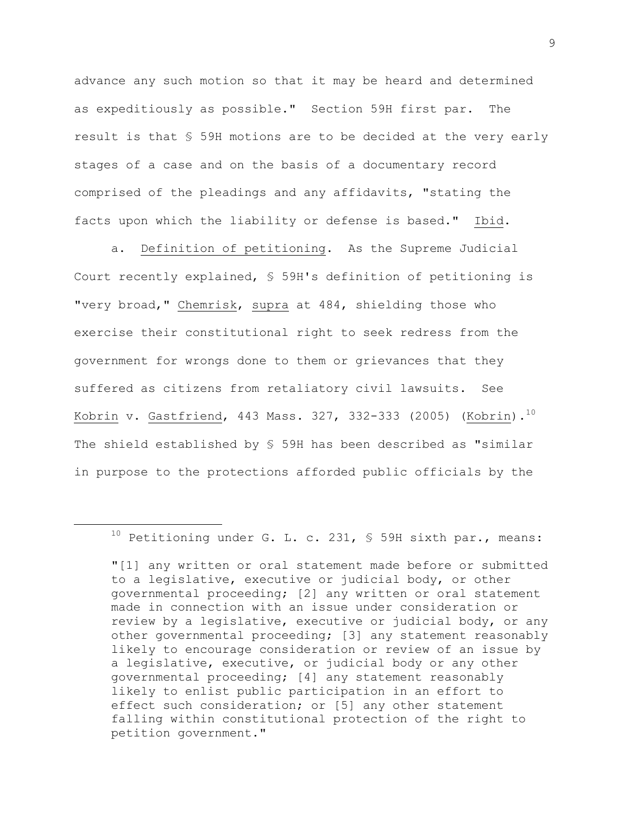advance any such motion so that it may be heard and determined as expeditiously as possible." Section 59H first par. The result is that § 59H motions are to be decided at the very early stages of a case and on the basis of a documentary record comprised of the pleadings and any affidavits, "stating the facts upon which the liability or defense is based." Ibid.

a. Definition of petitioning. As the Supreme Judicial Court recently explained, § 59H's definition of petitioning is "very broad," Chemrisk, supra at 484, shielding those who exercise their constitutional right to seek redress from the government for wrongs done to them or grievances that they suffered as citizens from retaliatory civil lawsuits. See Kobrin v. Gastfriend, 443 Mass. 327, 332-333 (2005) (Kobrin). $^{10}$ The shield established by § 59H has been described as "similar in purpose to the protections afforded public officials by the

 $10$  Petitioning under G. L. c. 231, § 59H sixth par., means:

<sup>&</sup>quot;[1] any written or oral statement made before or submitted to a legislative, executive or judicial body, or other governmental proceeding; [2] any written or oral statement made in connection with an issue under consideration or review by a legislative, executive or judicial body, or any other governmental proceeding; [3] any statement reasonably likely to encourage consideration or review of an issue by a legislative, executive, or judicial body or any other governmental proceeding; [4] any statement reasonably likely to enlist public participation in an effort to effect such consideration; or [5] any other statement falling within constitutional protection of the right to petition government."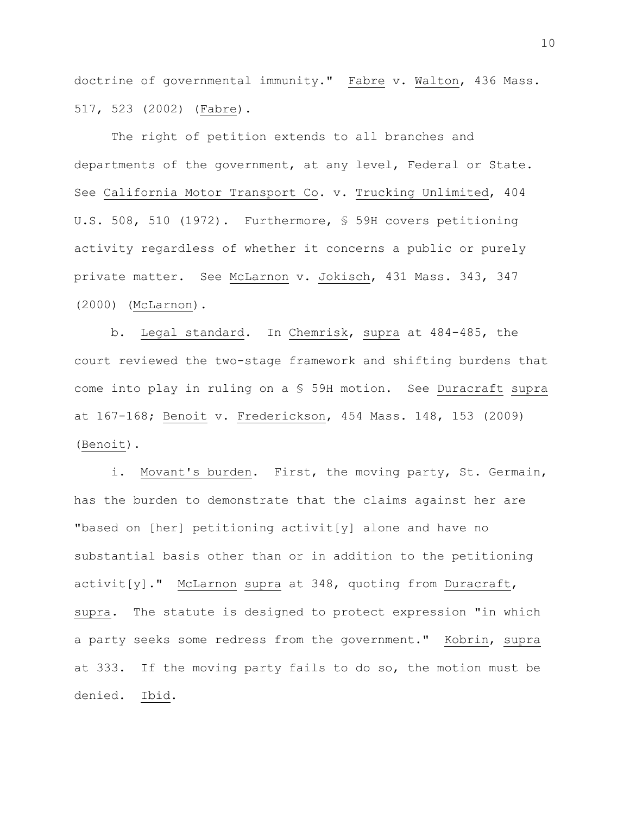doctrine of governmental immunity." Fabre v. Walton, 436 Mass. 517, 523 (2002) (Fabre).

The right of petition extends to all branches and departments of the government, at any level, Federal or State. See California Motor Transport Co. v. Trucking Unlimited, 404 U.S. 508, 510 (1972). Furthermore, § 59H covers petitioning activity regardless of whether it concerns a public or purely private matter. See McLarnon v. Jokisch, 431 Mass. 343, 347 (2000) (McLarnon).

b. Legal standard. In Chemrisk, supra at 484-485, the court reviewed the two-stage framework and shifting burdens that come into play in ruling on a § 59H motion. See Duracraft supra at 167-168; Benoit v. Frederickson, 454 Mass. 148, 153 (2009) (Benoit).

i. Movant's burden. First, the moving party, St. Germain, has the burden to demonstrate that the claims against her are "based on [her] petitioning activit[y] alone and have no substantial basis other than or in addition to the petitioning activit[y]." McLarnon supra at 348, quoting from Duracraft, supra. The statute is designed to protect expression "in which a party seeks some redress from the government." Kobrin, supra at 333. If the moving party fails to do so, the motion must be denied. Ibid.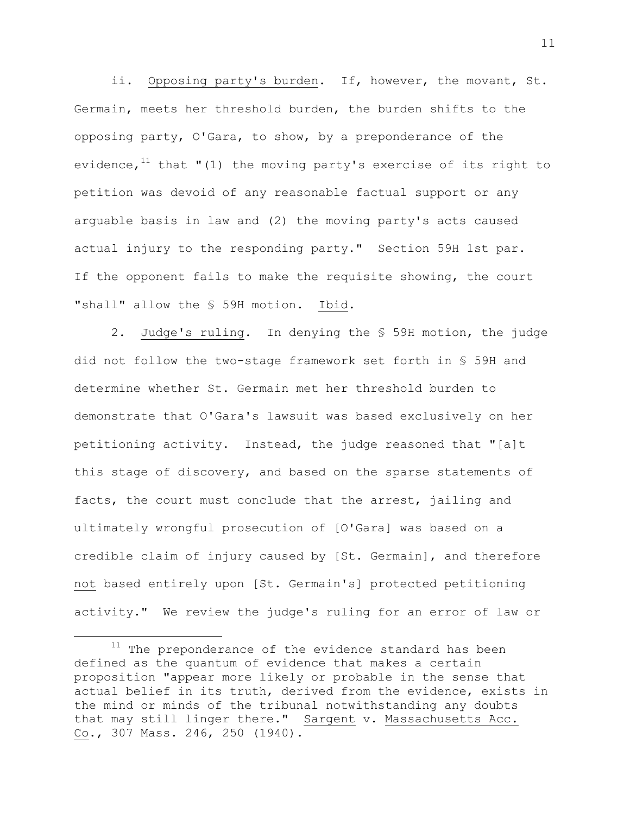ii. Opposing party's burden. If, however, the movant, St. Germain, meets her threshold burden, the burden shifts to the opposing party, O'Gara, to show, by a preponderance of the evidence,  $11$  that "(1) the moving party's exercise of its right to petition was devoid of any reasonable factual support or any arguable basis in law and (2) the moving party's acts caused actual injury to the responding party." Section 59H 1st par. If the opponent fails to make the requisite showing, the court "shall" allow the § 59H motion. Ibid.

2. Judge's ruling. In denying the § 59H motion, the judge did not follow the two-stage framework set forth in § 59H and determine whether St. Germain met her threshold burden to demonstrate that O'Gara's lawsuit was based exclusively on her petitioning activity. Instead, the judge reasoned that "[a]t this stage of discovery, and based on the sparse statements of facts, the court must conclude that the arrest, jailing and ultimately wrongful prosecution of [O'Gara] was based on a credible claim of injury caused by [St. Germain], and therefore not based entirely upon [St. Germain's] protected petitioning activity." We review the judge's ruling for an error of law or

 $11$  The preponderance of the evidence standard has been defined as the quantum of evidence that makes a certain proposition "appear more likely or probable in the sense that actual belief in its truth, derived from the evidence, exists in the mind or minds of the tribunal notwithstanding any doubts that may still linger there." Sargent v. Massachusetts Acc. Co., 307 Mass. 246, 250 (1940).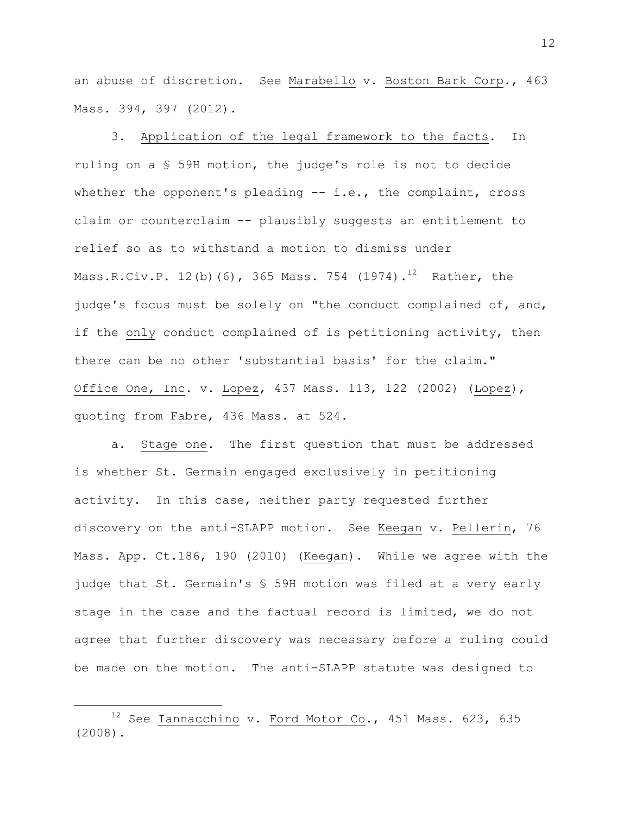an abuse of discretion. See Marabello v. Boston Bark Corp., 463 Mass. 394, 397 (2012).

3. Application of the legal framework to the facts. In ruling on a § 59H motion, the judge's role is not to decide whether the opponent's pleading -- i.e., the complaint, cross claim or counterclaim -- plausibly suggests an entitlement to relief so as to withstand a motion to dismiss under Mass.R.Civ.P. 12(b)(6), 365 Mass. 754 (1974). $^{12}$  Rather, the judge's focus must be solely on "the conduct complained of, and, if the only conduct complained of is petitioning activity, then there can be no other 'substantial basis' for the claim." Office One, Inc. v. Lopez, 437 Mass. 113, 122 (2002) (Lopez), quoting from Fabre, 436 Mass. at 524.

a. Stage one. The first question that must be addressed is whether St. Germain engaged exclusively in petitioning activity. In this case, neither party requested further discovery on the anti-SLAPP motion. See Keegan v. Pellerin, 76 Mass. App. Ct.186, 190 (2010) (Keegan). While we agree with the judge that St. Germain's § 59H motion was filed at a very early stage in the case and the factual record is limited, we do not agree that further discovery was necessary before a ruling could be made on the motion. The anti-SLAPP statute was designed to

 $12$  See Iannacchino v. Ford Motor Co., 451 Mass. 623, 635 (2008).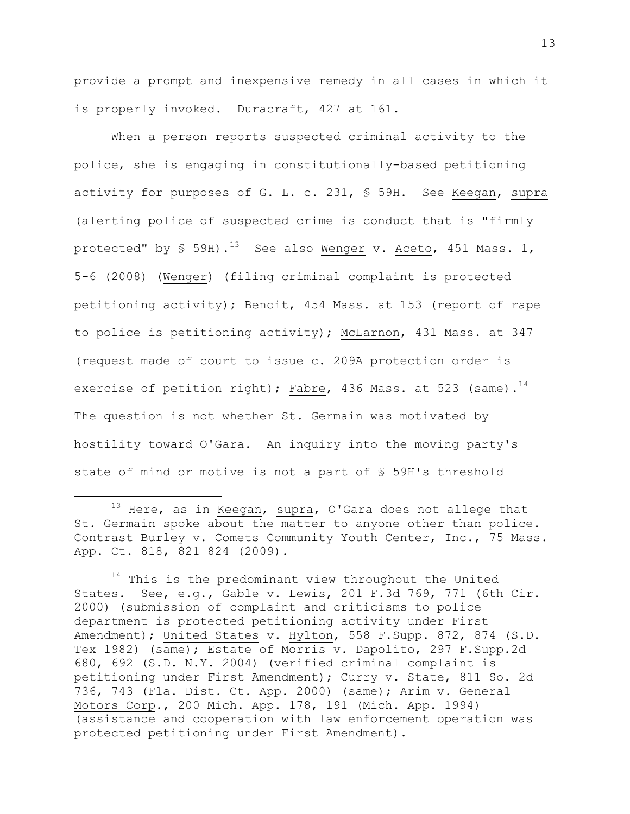provide a prompt and inexpensive remedy in all cases in which it is properly invoked. Duracraft, 427 at 161.

When a person reports suspected criminal activity to the police, she is engaging in constitutionally-based petitioning activity for purposes of G. L. c. 231, § 59H. See Keegan, supra (alerting police of suspected crime is conduct that is "firmly protected" by  $\frac{13}{13}$  See also Wenger v. Aceto, 451 Mass. 1, 5-6 (2008) (Wenger) (filing criminal complaint is protected petitioning activity); Benoit, 454 Mass. at 153 (report of rape to police is petitioning activity); McLarnon, 431 Mass. at 347 (request made of court to issue c. 209A protection order is exercise of petition right); Fabre, 436 Mass. at 523 (same). $^{14}$ The question is not whether St. Germain was motivated by hostility toward O'Gara. An inquiry into the moving party's state of mind or motive is not a part of § 59H's threshold

<sup>&</sup>lt;sup>13</sup> Here, as in Keegan, supra, O'Gara does not allege that St. Germain spoke about the matter to anyone other than police. Contrast Burley v. Comets Community Youth Center, Inc., 75 Mass. App. Ct. 818, 821–824 (2009).

 $^{14}$  This is the predominant view throughout the United States. See, e.g., Gable v. Lewis, 201 F.3d 769, 771 (6th Cir. 2000) (submission of complaint and criticisms to police department is protected petitioning activity under First Amendment); United States v. Hylton, 558 F.Supp. 872, 874 (S.D. Tex 1982) (same); Estate of Morris v. Dapolito, 297 F.Supp.2d 680, 692 (S.D. N.Y. 2004) (verified criminal complaint is petitioning under First Amendment); Curry v. State, 811 So. 2d 736, 743 (Fla. Dist. Ct. App. 2000) (same); Arim v. General Motors Corp., 200 Mich. App. 178, 191 (Mich. App. 1994) (assistance and cooperation with law enforcement operation was protected petitioning under First Amendment).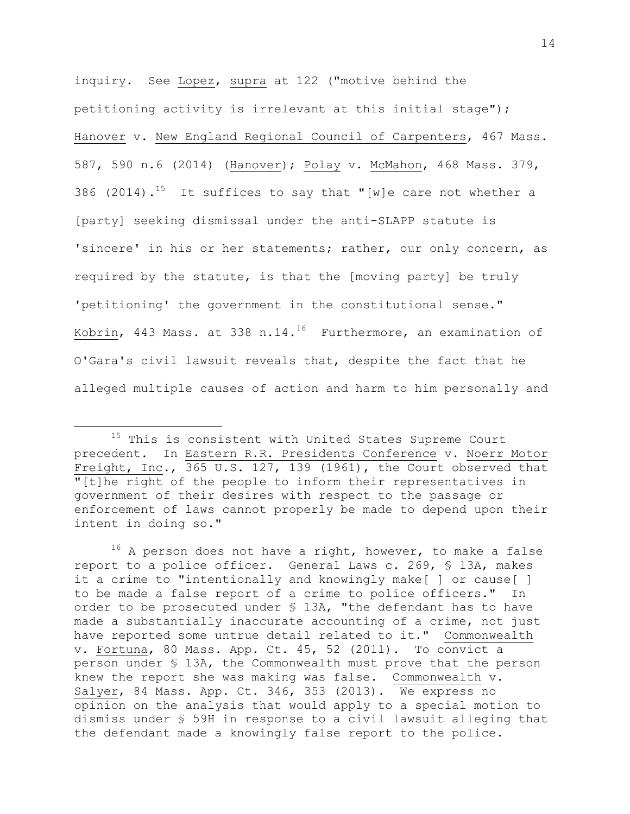inquiry. See Lopez, supra at 122 ("motive behind the petitioning activity is irrelevant at this initial stage"); Hanover v. New England Regional Council of Carpenters, 467 Mass. 587, 590 n.6 (2014) (Hanover); Polay v. McMahon, 468 Mass. 379, 386 (2014).<sup>15</sup> It suffices to say that "[w]e care not whether a [party] seeking dismissal under the anti-SLAPP statute is 'sincere' in his or her statements; rather, our only concern, as required by the statute, is that the [moving party] be truly 'petitioning' the government in the constitutional sense." Kobrin, 443 Mass. at 338 n.14. $^{16}$  Furthermore, an examination of O'Gara's civil lawsuit reveals that, despite the fact that he alleged multiple causes of action and harm to him personally and

L,

<sup>&</sup>lt;sup>15</sup> This is consistent with United States Supreme Court precedent. In Eastern R.R. Presidents Conference v. Noerr Motor Freight, Inc., 365 U.S. 127, 139 (1961), the Court observed that "[t]he right of the people to inform their representatives in government of their desires with respect to the passage or enforcement of laws cannot properly be made to depend upon their intent in doing so."

 $16$  A person does not have a right, however, to make a false report to a police officer. General Laws c. 269, § 13A, makes it a crime to "intentionally and knowingly make[ ] or cause[ ] to be made a false report of a crime to police officers." In order to be prosecuted under § 13A, "the defendant has to have made a substantially inaccurate accounting of a crime, not just have reported some untrue detail related to it." Commonwealth v. Fortuna, 80 Mass. App. Ct. 45, 52 (2011). To convict a person under § 13A, the Commonwealth must prove that the person knew the report she was making was false. Commonwealth v. Salyer, 84 Mass. App. Ct. 346, 353 (2013). We express no opinion on the analysis that would apply to a special motion to dismiss under § 59H in response to a civil lawsuit alleging that the defendant made a knowingly false report to the police.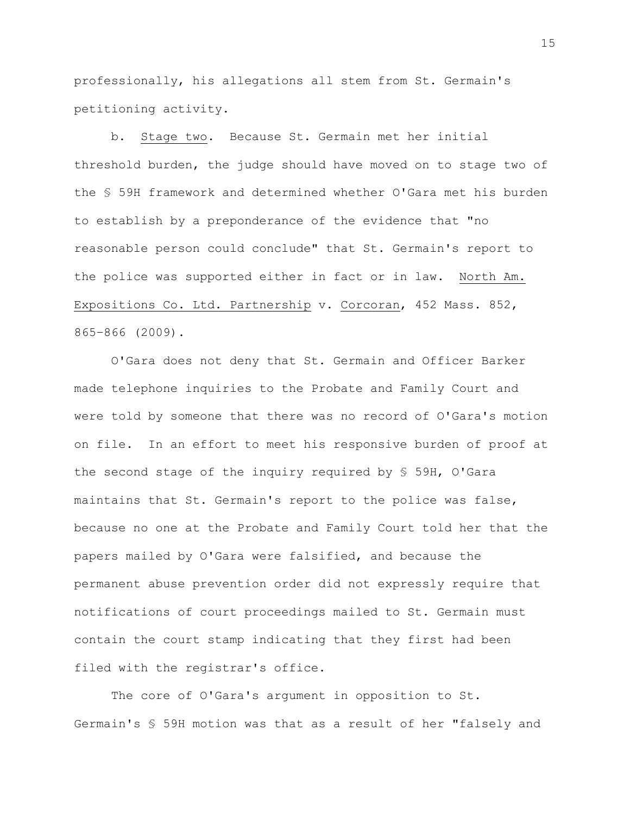professionally, his allegations all stem from St. Germain's petitioning activity.

b. Stage two. Because St. Germain met her initial threshold burden, the judge should have moved on to stage two of the § 59H framework and determined whether O'Gara met his burden to establish by a preponderance of the evidence that "no reasonable person could conclude" that St. Germain's report to the police was supported either in fact or in law. North Am. Expositions Co. Ltd. Partnership v. Corcoran, 452 Mass. 852, 865–866 (2009).

O'Gara does not deny that St. Germain and Officer Barker made telephone inquiries to the Probate and Family Court and were told by someone that there was no record of O'Gara's motion on file. In an effort to meet his responsive burden of proof at the second stage of the inquiry required by § 59H, O'Gara maintains that St. Germain's report to the police was false, because no one at the Probate and Family Court told her that the papers mailed by O'Gara were falsified, and because the permanent abuse prevention order did not expressly require that notifications of court proceedings mailed to St. Germain must contain the court stamp indicating that they first had been filed with the registrar's office.

The core of O'Gara's argument in opposition to St. Germain's § 59H motion was that as a result of her "falsely and

15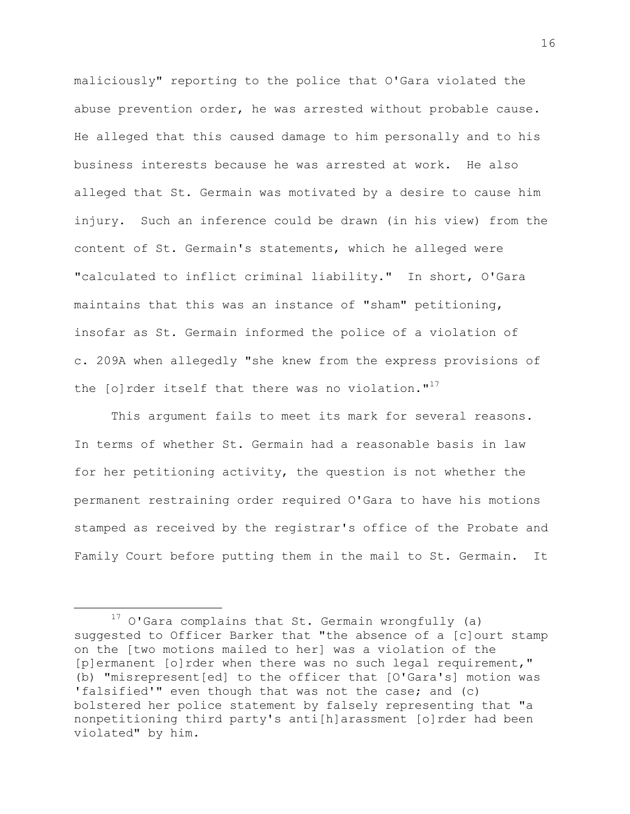maliciously" reporting to the police that O'Gara violated the abuse prevention order, he was arrested without probable cause. He alleged that this caused damage to him personally and to his business interests because he was arrested at work. He also alleged that St. Germain was motivated by a desire to cause him injury. Such an inference could be drawn (in his view) from the content of St. Germain's statements, which he alleged were "calculated to inflict criminal liability." In short, O'Gara maintains that this was an instance of "sham" petitioning, insofar as St. Germain informed the police of a violation of c. 209A when allegedly "she knew from the express provisions of the  $[0]$  rder itself that there was no violation."<sup>17</sup>

This argument fails to meet its mark for several reasons. In terms of whether St. Germain had a reasonable basis in law for her petitioning activity, the question is not whether the permanent restraining order required O'Gara to have his motions stamped as received by the registrar's office of the Probate and Family Court before putting them in the mail to St. Germain. It

 $17$  O'Gara complains that St. Germain wrongfully (a) suggested to Officer Barker that "the absence of a [c]ourt stamp on the [two motions mailed to her] was a violation of the [p]ermanent [o]rder when there was no such legal requirement," (b) "misrepresent[ed] to the officer that [O'Gara's] motion was 'falsified'" even though that was not the case; and (c) bolstered her police statement by falsely representing that "a nonpetitioning third party's anti[h]arassment [o]rder had been violated" by him.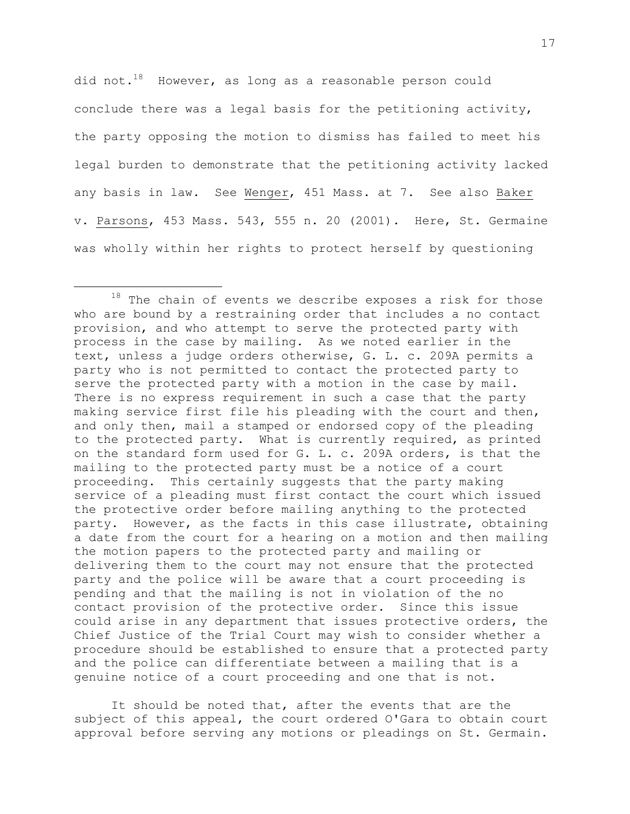did not.<sup>18</sup> However, as long as a reasonable person could conclude there was a legal basis for the petitioning activity, the party opposing the motion to dismiss has failed to meet his legal burden to demonstrate that the petitioning activity lacked any basis in law. See Wenger, 451 Mass. at 7. See also Baker v. Parsons, 453 Mass. 543, 555 n. 20 (2001). Here, St. Germaine was wholly within her rights to protect herself by questioning

i<br>L

It should be noted that, after the events that are the subject of this appeal, the court ordered O'Gara to obtain court approval before serving any motions or pleadings on St. Germain.

 $18$  The chain of events we describe exposes a risk for those who are bound by a restraining order that includes a no contact provision, and who attempt to serve the protected party with process in the case by mailing. As we noted earlier in the text, unless a judge orders otherwise, G. L. c. 209A permits a party who is not permitted to contact the protected party to serve the protected party with a motion in the case by mail. There is no express requirement in such a case that the party making service first file his pleading with the court and then, and only then, mail a stamped or endorsed copy of the pleading to the protected party. What is currently required, as printed on the standard form used for G. L. c. 209A orders, is that the mailing to the protected party must be a notice of a court proceeding. This certainly suggests that the party making service of a pleading must first contact the court which issued the protective order before mailing anything to the protected party. However, as the facts in this case illustrate, obtaining a date from the court for a hearing on a motion and then mailing the motion papers to the protected party and mailing or delivering them to the court may not ensure that the protected party and the police will be aware that a court proceeding is pending and that the mailing is not in violation of the no contact provision of the protective order. Since this issue could arise in any department that issues protective orders, the Chief Justice of the Trial Court may wish to consider whether a procedure should be established to ensure that a protected party and the police can differentiate between a mailing that is a genuine notice of a court proceeding and one that is not.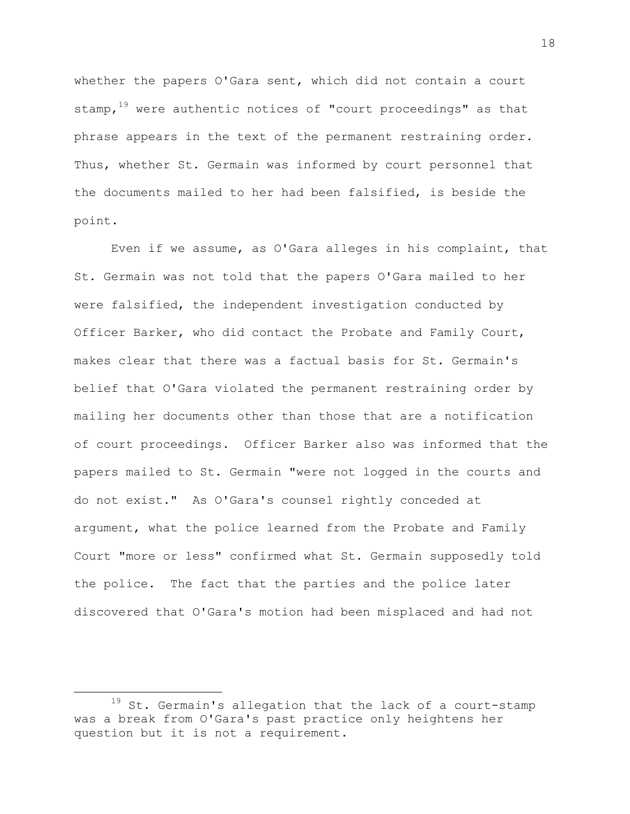whether the papers O'Gara sent, which did not contain a court stamp,  $19$  were authentic notices of "court proceedings" as that phrase appears in the text of the permanent restraining order. Thus, whether St. Germain was informed by court personnel that the documents mailed to her had been falsified, is beside the point.

Even if we assume, as O'Gara alleges in his complaint, that St. Germain was not told that the papers O'Gara mailed to her were falsified, the independent investigation conducted by Officer Barker, who did contact the Probate and Family Court, makes clear that there was a factual basis for St. Germain's belief that O'Gara violated the permanent restraining order by mailing her documents other than those that are a notification of court proceedings. Officer Barker also was informed that the papers mailed to St. Germain "were not logged in the courts and do not exist." As O'Gara's counsel rightly conceded at argument, what the police learned from the Probate and Family Court "more or less" confirmed what St. Germain supposedly told the police. The fact that the parties and the police later discovered that O'Gara's motion had been misplaced and had not

 $19$  St. Germain's allegation that the lack of a court-stamp was a break from O'Gara's past practice only heightens her question but it is not a requirement.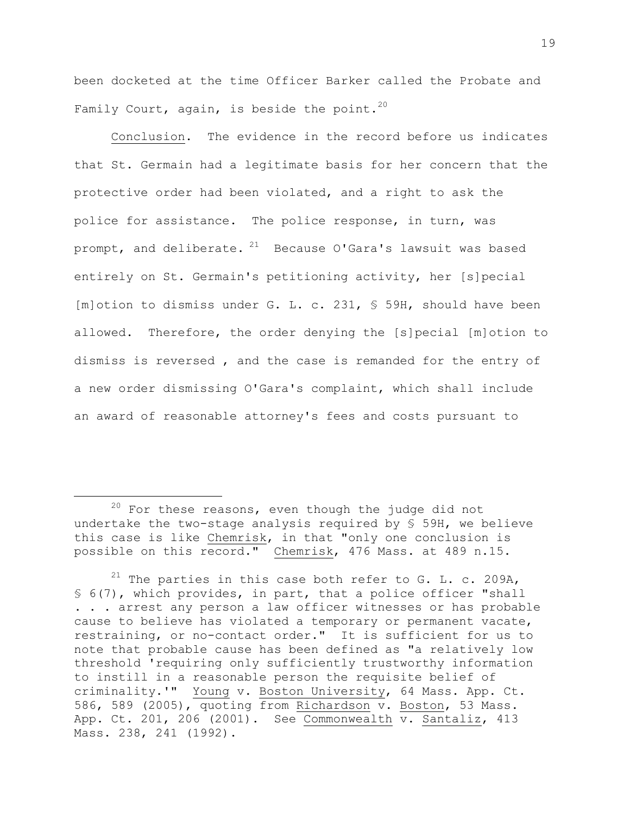been docketed at the time Officer Barker called the Probate and Family Court, again, is beside the point.<sup>20</sup>

Conclusion. The evidence in the record before us indicates that St. Germain had a legitimate basis for her concern that the protective order had been violated, and a right to ask the police for assistance. The police response, in turn, was prompt, and deliberate.  $21$  Because O'Gara's lawsuit was based entirely on St. Germain's petitioning activity, her [s]pecial [m]otion to dismiss under G. L. c. 231, § 59H, should have been allowed. Therefore, the order denying the [s]pecial [m]otion to dismiss is reversed , and the case is remanded for the entry of a new order dismissing O'Gara's complaint, which shall include an award of reasonable attorney's fees and costs pursuant to

 $20$  For these reasons, even though the judge did not undertake the two-stage analysis required by § 59H, we believe this case is like Chemrisk, in that "only one conclusion is possible on this record." Chemrisk, 476 Mass. at 489 n.15.

 $21$  The parties in this case both refer to G. L. c. 209A, § 6(7), which provides, in part, that a police officer "shall . . . arrest any person a law officer witnesses or has probable cause to believe has violated a temporary or permanent vacate, restraining, or no-contact order." It is sufficient for us to note that probable cause has been defined as "a relatively low threshold 'requiring only sufficiently trustworthy information to instill in a reasonable person the requisite belief of criminality.'" Young v. Boston University, 64 Mass. App. Ct. 586, 589 (2005), quoting from Richardson v. Boston, 53 Mass. App. Ct. 201, 206 (2001). See Commonwealth v. Santaliz, 413 Mass. 238, 241 (1992).